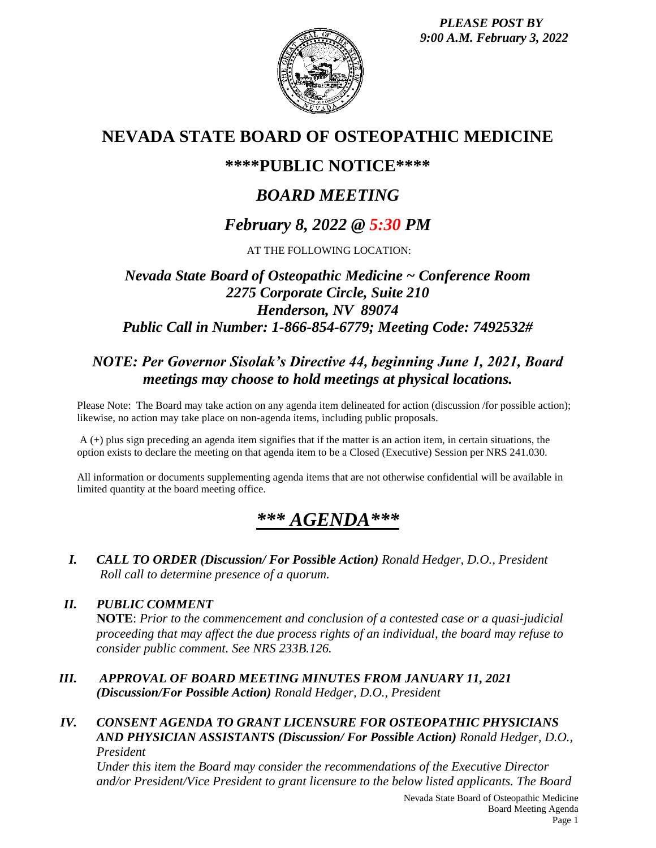*PLEASE POST BY 9:00 A.M. February 3, 2022*



# **NEVADA STATE BOARD OF OSTEOPATHIC MEDICINE**

# **\*\*\*\*PUBLIC NOTICE\*\*\*\***

# *BOARD MEETING*

# *February 8, 2022 @ 5:30 PM*

AT THE FOLLOWING LOCATION:

# *Nevada State Board of Osteopathic Medicine ~ Conference Room 2275 Corporate Circle, Suite 210 Henderson, NV 89074 Public Call in Number: 1-866-854-6779; Meeting Code: 7492532#*

# *NOTE: Per Governor Sisolak's Directive 44, beginning June 1, 2021, Board meetings may choose to hold meetings at physical locations.*

Please Note: The Board may take action on any agenda item delineated for action (discussion /for possible action); likewise, no action may take place on non-agenda items, including public proposals.

A (+) plus sign preceding an agenda item signifies that if the matter is an action item, in certain situations, the option exists to declare the meeting on that agenda item to be a Closed (Executive) Session per NRS 241.030.

All information or documents supplementing agenda items that are not otherwise confidential will be available in limited quantity at the board meeting office.

# *\*\*\* AGENDA\*\*\**

*I. CALL TO ORDER (Discussion/ For Possible Action) Ronald Hedger, D.O., President Roll call to determine presence of a quorum.*

## *II. PUBLIC COMMENT*

**NOTE**: *Prior to the commencement and conclusion of a contested case or a quasi-judicial proceeding that may affect the due process rights of an individual, the board may refuse to consider public comment. See NRS 233B.126.*

*III. APPROVAL OF BOARD MEETING MINUTES FROM JANUARY 11, 2021 (Discussion/For Possible Action) Ronald Hedger, D.O., President*

### *IV. CONSENT AGENDA TO GRANT LICENSURE FOR OSTEOPATHIC PHYSICIANS AND PHYSICIAN ASSISTANTS (Discussion/ For Possible Action) Ronald Hedger, D.O., President*

*Under this item the Board may consider the recommendations of the Executive Director and/or President/Vice President to grant licensure to the below listed applicants. The Board*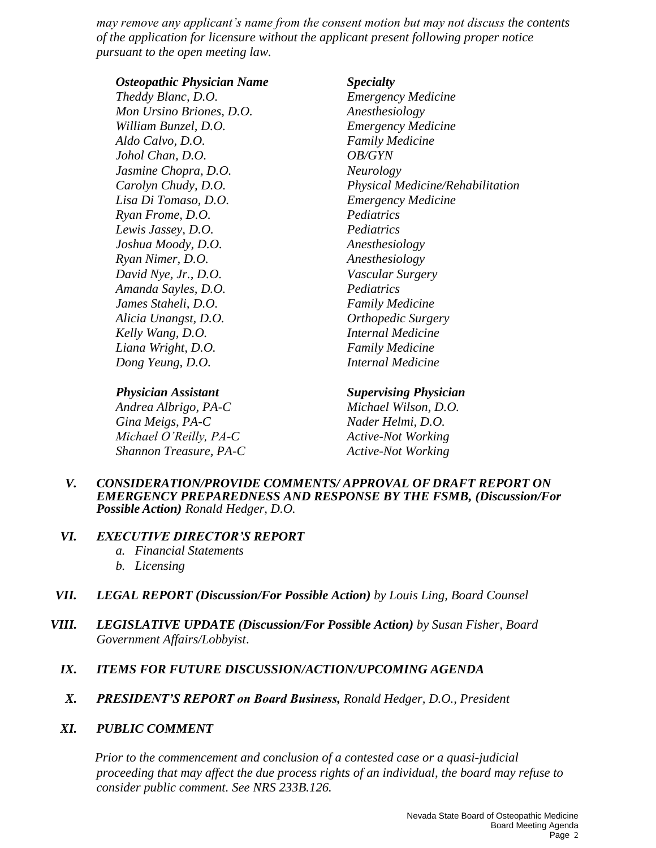*may remove any applicant's name from the consent motion but may not discuss the contents of the application for licensure without the applicant present following proper notice pursuant to the open meeting law.*

### *Osteopathic Physician Name Specialty*

*Theddy Blanc, D.O. Emergency Medicine Mon Ursino Briones, D.O. Anesthesiology William Bunzel, D.O. Emergency Medicine Aldo Calvo, D.O. Family Medicine Johol Chan, D.O. OB/GYN Jasmine Chopra, D.O. Neurology Lisa Di Tomaso, D.O. Emergency Medicine Ryan Frome, D.O. Pediatrics Lewis Jassey, D.O. Pediatrics Joshua Moody, D.O. Anesthesiology Ryan Nimer, D.O. Anesthesiology David Nye, Jr., D.O. Vascular Surgery Amanda Sayles, D.O. Pediatrics James Staheli, D.O. Family Medicine Alicia Unangst, D.O. Orthopedic Surgery Kelly Wang, D.O. Internal Medicine Liana Wright, D.O. Family Medicine Dong Yeung, D.O. Internal Medicine* 

# *Carolyn Chudy, D.O. Physical Medicine/Rehabilitation*

*Andrea Albrigo, PA-C Michael Wilson, D.O. Gina Meigs, PA-C Nader Helmi, D.O. Michael O'Reilly, PA-C Active-Not Working Shannon Treasure, PA-C Active-Not Working*

*Physician Assistant Supervising Physician*

### *V. CONSIDERATION/PROVIDE COMMENTS/ APPROVAL OF DRAFT REPORT ON EMERGENCY PREPAREDNESS AND RESPONSE BY THE FSMB, (Discussion/For Possible Action) Ronald Hedger, D.O.*

### *VI. EXECUTIVE DIRECTOR'S REPORT*

- *a. Financial Statements*
- *b. Licensing*
- *VII. LEGAL REPORT (Discussion/For Possible Action) by Louis Ling, Board Counsel*
- *VIII. LEGISLATIVE UPDATE (Discussion/For Possible Action) by Susan Fisher, Board Government Affairs/Lobbyist*.

### *IX. ITEMS FOR FUTURE DISCUSSION/ACTION/UPCOMING AGENDA*

*X. PRESIDENT'S REPORT on Board Business, Ronald Hedger, D.O., President*

### *XI. PUBLIC COMMENT*

*Prior to the commencement and conclusion of a contested case or a quasi-judicial proceeding that may affect the due process rights of an individual, the board may refuse to consider public comment. See NRS 233B.126.*